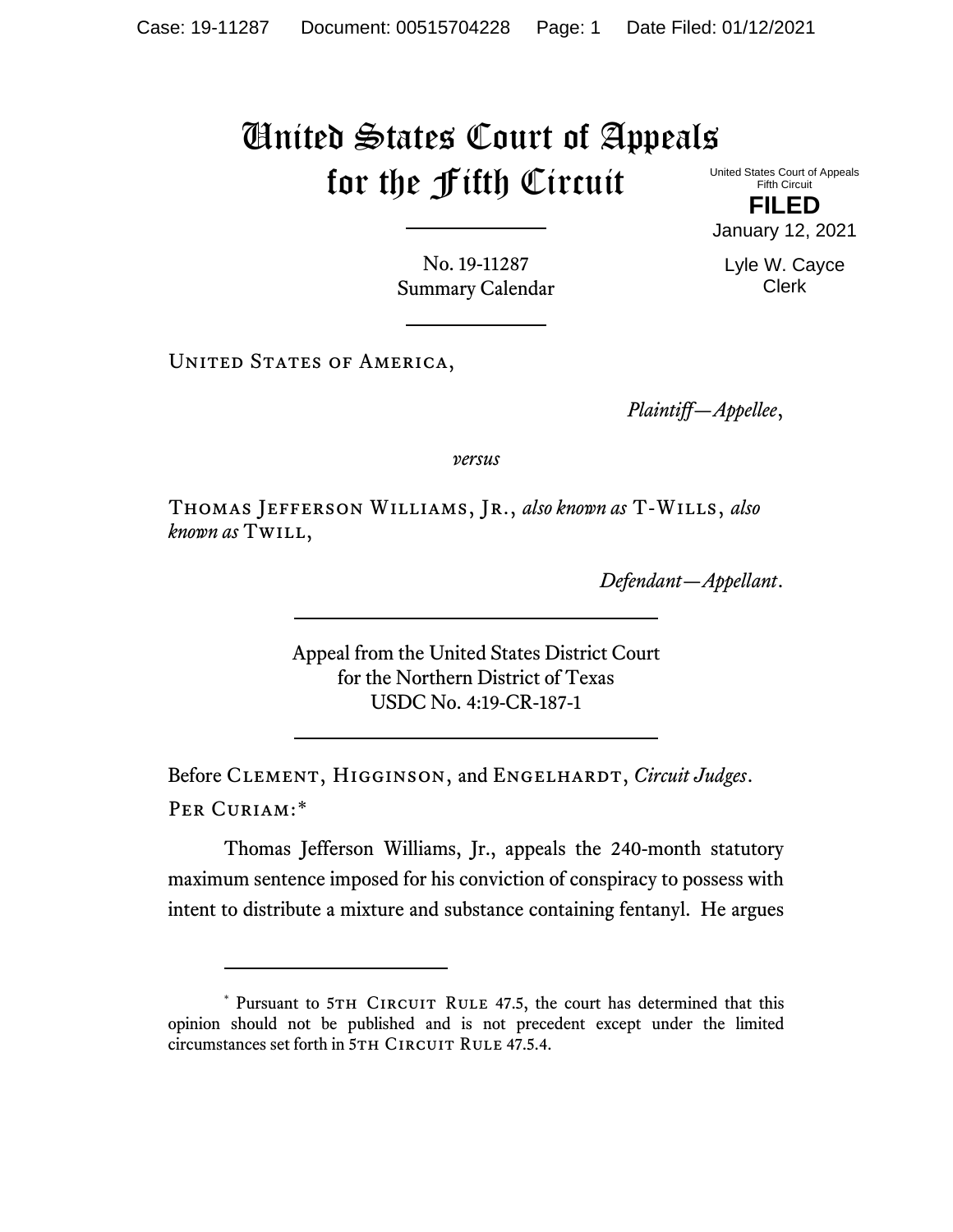## United States Court of Appeals for the Fifth Circuit United States Court of Appeals

Fifth Circuit **FILED**

January 12, 2021

Lyle W. Cayce Clerk

No. 19-11287 Summary Calendar

UNITED STATES OF AMERICA,

*Plaintiff—Appellee*,

*versus*

Thomas Jefferson Williams, Jr., *also known as* T-Wills, *also known as* Twill,

*Defendant—Appellant*.

Appeal from the United States District Court for the Northern District of Texas USDC No. 4:19-CR-187-1

Before CLEMENT, HIGGINSON, and ENGELHARDT, *Circuit Judges*. Per Curiam:[\\*](#page-0-0)

Thomas Jefferson Williams, Jr., appeals the 240-month statutory maximum sentence imposed for his conviction of conspiracy to possess with intent to distribute a mixture and substance containing fentanyl. He argues

<span id="page-0-0"></span><sup>\*</sup> Pursuant to 5TH CIRCUIT RULE 47.5, the court has determined that this opinion should not be published and is not precedent except under the limited circumstances set forth in 5TH CIRCUIT RULE 47.5.4.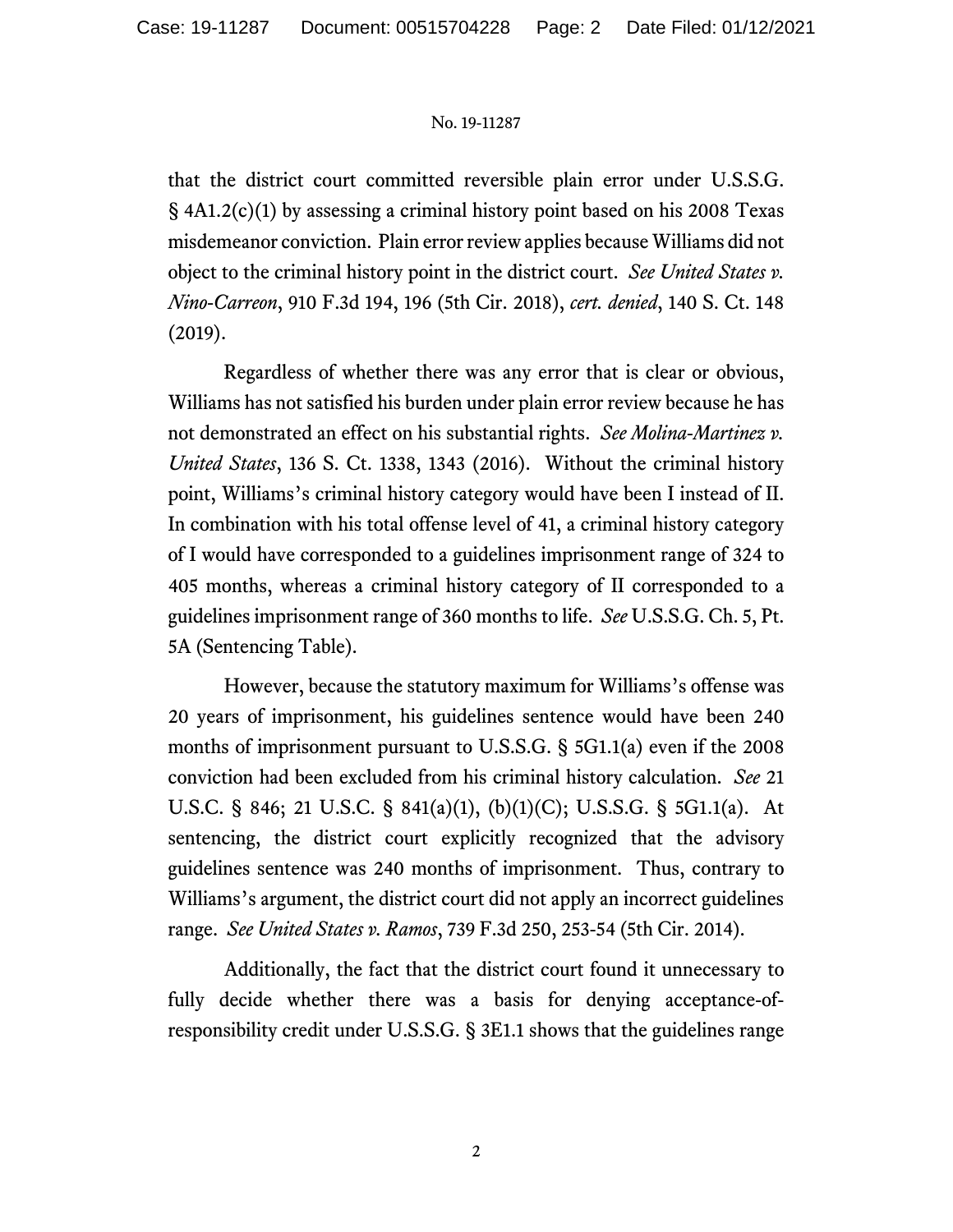## No. 19-11287

that the district court committed reversible plain error under U.S.S.G. § 4A1.2(c)(1) by assessing a criminal history point based on his 2008 Texas misdemeanor conviction. Plain error review applies because Williams did not object to the criminal history point in the district court. *See United States v. Nino-Carreon*, 910 F.3d 194, 196 (5th Cir. 2018), *cert. denied*, 140 S. Ct. 148 (2019).

Regardless of whether there was any error that is clear or obvious, Williams has not satisfied his burden under plain error review because he has not demonstrated an effect on his substantial rights. *See Molina-Martinez v. United States*, 136 S. Ct. 1338, 1343 (2016). Without the criminal history point, Williams's criminal history category would have been I instead of II. In combination with his total offense level of 41, a criminal history category of I would have corresponded to a guidelines imprisonment range of 324 to 405 months, whereas a criminal history category of II corresponded to a guidelines imprisonment range of 360 months to life. *See* U.S.S.G. Ch. 5, Pt. 5A (Sentencing Table).

However, because the statutory maximum for Williams's offense was 20 years of imprisonment, his guidelines sentence would have been 240 months of imprisonment pursuant to U.S.S.G. § 5G1.1(a) even if the 2008 conviction had been excluded from his criminal history calculation. *See* 21 U.S.C. § 846; 21 U.S.C. § 841(a)(1), (b)(1)(C); U.S.S.G. § 5G1.1(a). At sentencing, the district court explicitly recognized that the advisory guidelines sentence was 240 months of imprisonment. Thus, contrary to Williams's argument, the district court did not apply an incorrect guidelines range. *See United States v. Ramos*, 739 F.3d 250, 253-54 (5th Cir. 2014).

Additionally, the fact that the district court found it unnecessary to fully decide whether there was a basis for denying acceptance-ofresponsibility credit under U.S.S.G. § 3E1.1 shows that the guidelines range